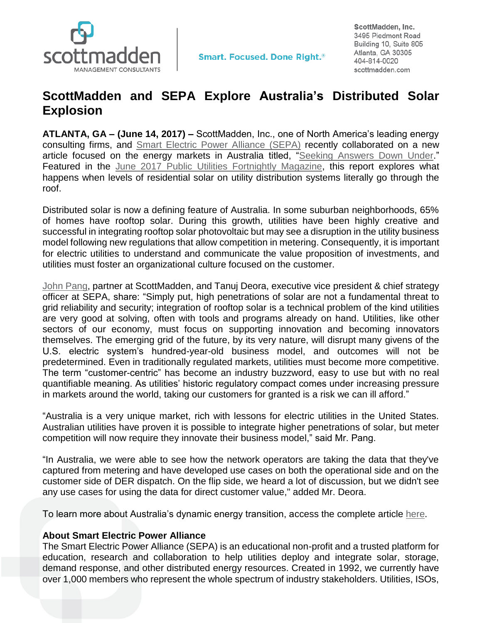

**Smart. Focused. Done Right.**<sup>®</sup>

ScottMadden, Inc. 3495 Piedmont Road Building 10, Suite 805 Atlanta, GA 30305 404-814-0020 scottmadden.com

## **ScottMadden and SEPA Explore Australia's Distributed Solar Explosion**

**ATLANTA, GA – (June 14, 2017) –** ScottMadden, Inc., one of North America's leading energy consulting firms, and Smart [Electric Power Alliance](https://www.solarelectricpower.org/) (SEPA) recently collaborated on a new article focused on the energy markets in Australia titled, ["Seeking Answers Down Under.](http://www.scottmadden.com/insight/seeking-answers-down-under/)" Featured in the [June 2017 Public Utilities Fortnightly Magazine,](https://www.fortnightly.com/fortnightly/2017/06/seeking-answers-down-under) this report explores what happens when levels of residential solar on utility distribution systems literally go through the roof.

Distributed solar is now a defining feature of Australia. In some suburban neighborhoods, 65% of homes have rooftop solar. During this growth, utilities have been highly creative and successful in integrating rooftop solar photovoltaic but may see a disruption in the utility business model following new regulations that allow competition in metering. Consequently, it is important for electric utilities to understand and communicate the value proposition of investments, and utilities must foster an organizational culture focused on the customer.

[John Pang,](http://www.scottmadden.com/person/john-pang/) partner at ScottMadden, and Tanuj Deora, executive vice president & chief strategy officer at SEPA, share: "Simply put, high penetrations of solar are not a fundamental threat to grid reliability and security; integration of rooftop solar is a technical problem of the kind utilities are very good at solving, often with tools and programs already on hand. Utilities, like other sectors of our economy, must focus on supporting innovation and becoming innovators themselves. The emerging grid of the future, by its very nature, will disrupt many givens of the U.S. electric system's hundred-year-old business model, and outcomes will not be predetermined. Even in traditionally regulated markets, utilities must become more competitive. The term "customer-centric" has become an industry buzzword, easy to use but with no real quantifiable meaning. As utilities' historic regulatory compact comes under increasing pressure in markets around the world, taking our customers for granted is a risk we can ill afford."

"Australia is a very unique market, rich with lessons for electric utilities in the United States. Australian utilities have proven it is possible to integrate higher penetrations of solar, but meter competition will now require they innovate their business model," said Mr. Pang.

"In Australia, we were able to see how the network operators are taking the data that they've captured from metering and have developed use cases on both the operational side and on the customer side of DER dispatch. On the flip side, we heard a lot of discussion, but we didn't see any use cases for using the data for direct customer value," added Mr. Deora.

To learn more about Australia's dynamic energy transition, access the complete article [here.](http://www.scottmadden.com/insight/seeking-answers-down-under/)

## **About Smart Electric Power Alliance**

The Smart Electric Power Alliance (SEPA) is an educational non-profit and a trusted platform for education, research and collaboration to help utilities deploy and integrate solar, storage, demand response, and other distributed energy resources. Created in 1992, we currently have over 1,000 members who represent the whole spectrum of industry stakeholders. Utilities, ISOs,